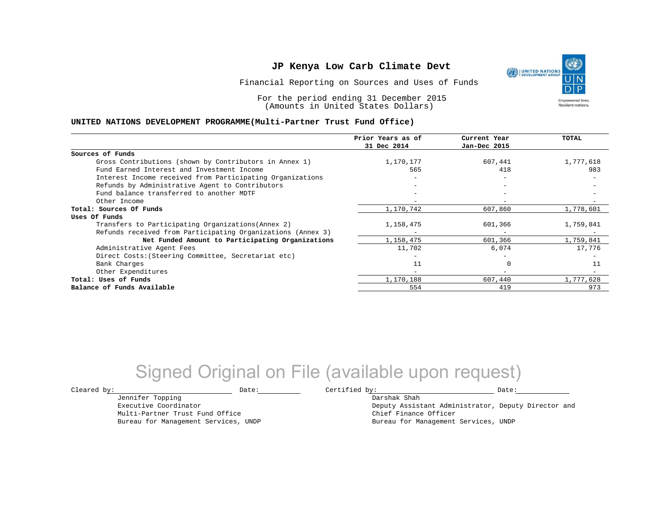Financial Reporting on Sources and Uses of Funds

For the period ending 31 December 2015 (Amounts in United States Dollars)

#### **UNITED NATIONS DEVELOPMENT PROGRAMME(Multi-Partner Trust Fund Office)**

| Prior Years as of | Current Year             | TOTAL     |
|-------------------|--------------------------|-----------|
| 31 Dec 2014       | Jan-Dec 2015             |           |
|                   |                          |           |
| 1,170,177         | 607,441                  | 1,777,618 |
| 565               | 418                      | 983       |
|                   | $\overline{\phantom{0}}$ |           |
|                   | $\overline{\phantom{m}}$ |           |
|                   |                          |           |
|                   |                          |           |
| 1,170,742         | 607,860                  | 1,778,601 |
|                   |                          |           |
| 1,158,475         | 601,366                  | 1,759,841 |
|                   | $\overline{\phantom{m}}$ |           |
| 1,158,475         | 601,366                  | 1,759,841 |
| 11,702            | 6,074                    | 17,776    |
|                   |                          |           |
| 11                | O                        | 11        |
|                   |                          |           |
| 1,170,188         | 607,440                  | 1,777,628 |
| 554               | 419                      | 973       |
|                   |                          |           |

## Signed Original on File (available upon request)

Jennifer Topping Executive Coordinator Multi-Partner Trust Fund Office Bureau for Management Services, UNDP

 $\texttt{Cleared by:}\footnotesize \begin{minipage}{0.9\linewidth} \texttt{Date:}\footnotesize \begin{minipage}{0.9\linewidth} \texttt{Date:}\footnotesize \begin{minipage}{0.9\linewidth} \end{minipage} \end{minipage}$ 

Darshak Shah Deputy Assistant Administrator, Deputy Director and Chief Finance Officer Bureau for Management Services, UNDP

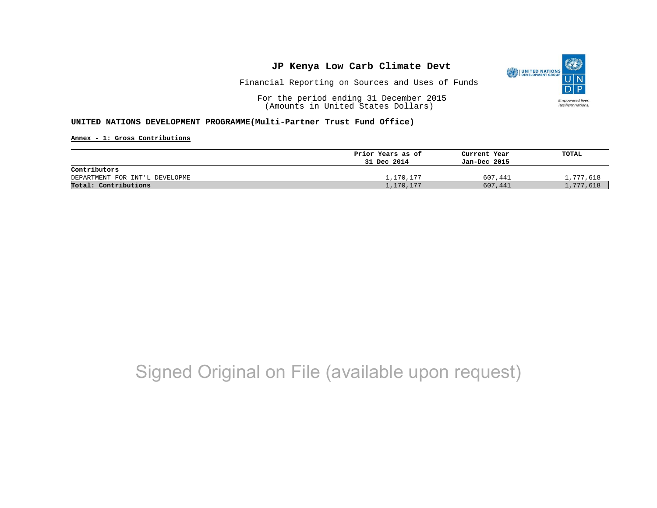

Financial Reporting on Sources and Uses of Funds

For the period ending 31 December 2015 (Amounts in United States Dollars)

### **UNITED NATIONS DEVELOPMENT PROGRAMME(Multi-Partner Trust Fund Office)**

**Annex - 1: Gross Contributions**

|                                | Prior Years as of | Current Year | TOTAL     |
|--------------------------------|-------------------|--------------|-----------|
|                                | 31 Dec 2014       | Jan-Dec 2015 |           |
| Contributors                   |                   |              |           |
| DEPARTMENT FOR INT'L DEVELOPME | 1,170,177         | 607,441      | 1,777,618 |
| Total: Contributions           | 1,170,177         | 607,441      | 1,777,618 |

## Signed Original on File (available upon request)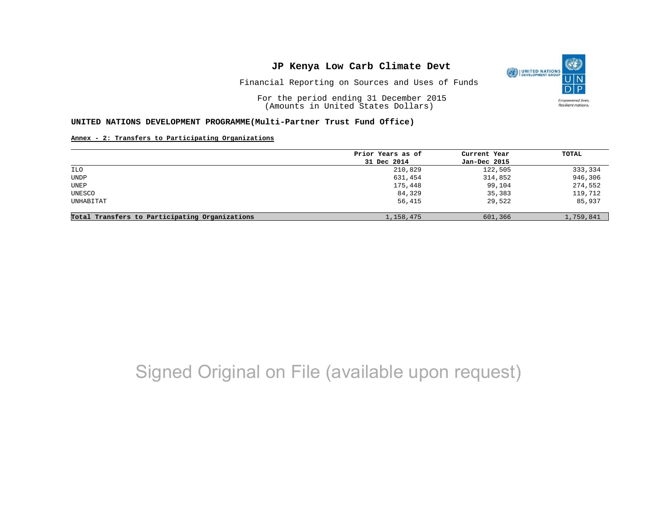

Financial Reporting on Sources and Uses of Funds

For the period ending 31 December 2015 (Amounts in United States Dollars)

#### **UNITED NATIONS DEVELOPMENT PROGRAMME(Multi-Partner Trust Fund Office)**

### **Annex - 2: Transfers to Participating Organizations**

|                                                | Prior Years as of | Current Year | TOTAL     |
|------------------------------------------------|-------------------|--------------|-----------|
|                                                | 31 Dec 2014       | Jan-Dec 2015 |           |
| ILO                                            | 210,829           | 122,505      | 333,334   |
| UNDP                                           | 631,454           | 314,852      | 946,306   |
| UNEP                                           | 175,448           | 99,104       | 274,552   |
| UNESCO                                         | 84,329            | 35,383       | 119,712   |
| UNHABITAT                                      | 56,415            | 29,522       | 85,937    |
| Total Transfers to Participating Organizations | 1,158,475         | 601,366      | 1,759,841 |

# Signed Original on File (available upon request)